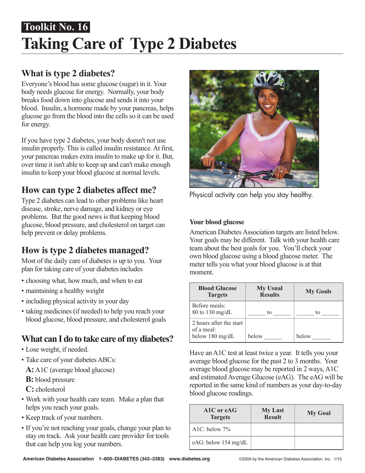# **Taking Care of Type 2 Diabetes Toolkit No. 16**

# **What is type 2 diabetes?**

Everyone's blood has some glucose (sugar) in it. Your body needs glucose for energy. Normally, your body breaks food down into glucose and sends it into your blood. Insulin, a hormone made by your pancreas, helps glucose go from the blood into the cells so it can be used for energy.

If you have type 2 diabetes, your body doesn't not use insulin properly. This is called insulin resistance. At first, your pancreas makes extra insulin to make up for it. But, over time it isn't able to keep up and can't make enough insulin to keep your blood glucose at normal levels.

# **How can type 2 diabetes affect me?**

Type 2 diabetes can lead to other problems like heart disease, stroke, nerve damage, and kidney or eye problems. But the good news is that keeping blood glucose, blood pressure, and cholesterol on target can help prevent or delay problems.

# **How is type 2 diabetes managed?**

Most of the daily care of diabetes is up to you. Your plan for taking care of your diabetes includes

- choosing what, how much, and when to eat
- maintaining a healthy weight
- including physical activity in your day
- taking medicines (if needed) to help you reach your blood glucose, blood pressure, and cholesterol goals

# **What can I do to take care of my diabetes?**

- Lose weight, if needed.
- Take care of your diabetes ABCs:

**A:**A1C (average blood glucose)

**B:** blood pressure

**C:** cholesterol

- Work with your health care team. Make a plan that helps you reach your goals.
- Keep track of your numbers.
- If you're not reaching your goals, change your plan to stay on track. Ask your health care provider for tools that can help you log your numbers.



Physical activity can help you stay healthy.

### **Your blood glucose**

American Diabetes Association targets are listed below. Your goals may be different. Talk with your health care team about the best goals for you. You'll check your own blood glucose using a blood glucose meter. The meter tells you what your blood glucose is at that moment.

| <b>Blood Glucose</b><br><b>Targets</b>                   | <b>My Usual</b><br><b>Results</b> | <b>My Goals</b> |
|----------------------------------------------------------|-----------------------------------|-----------------|
| Before meals:<br>80 to 130 mg/dL                         | to                                | tο              |
| 2 hours after the start<br>of a meal:<br>below 180 mg/dL | below                             | below           |

Have an A1C test at least twice a year. It tells you your average blood glucose for the past 2 to 3 months. Your average blood glucose may be reported in 2 ways, A1C and estimated Average Glucose (eAG). The eAG will be reported in the same kind of numbers as your day-to-day blood glucose readings.

| A1C or eAG<br><b>Targets</b> | <b>My Last</b><br><b>Result</b> | <b>My Goal</b> |
|------------------------------|---------------------------------|----------------|
| A1C: below $7\%$             |                                 |                |
| eAG: below 154 mg/dL         |                                 |                |